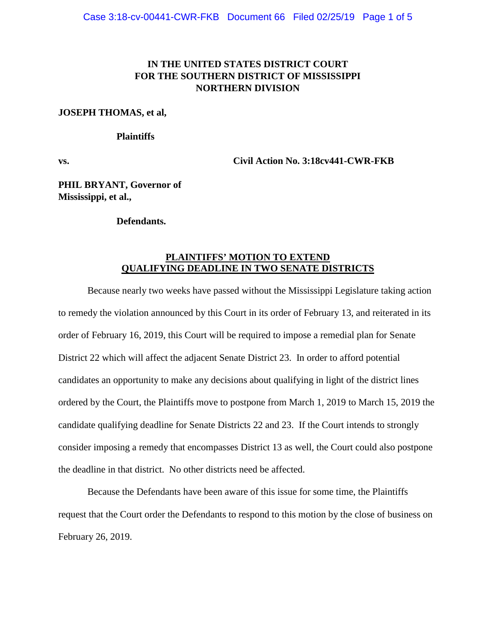## **IN THE UNITED STATES DISTRICT COURT FOR THE SOUTHERN DISTRICT OF MISSISSIPPI NORTHERN DIVISION**

### **JOSEPH THOMAS, et al,**

### **Plaintiffs**

**vs. Civil Action No. 3:18cv441-CWR-FKB**

**PHIL BRYANT, Governor of Mississippi, et al.,**

## **Defendants.**

## **PLAINTIFFS' MOTION TO EXTEND QUALIFYING DEADLINE IN TWO SENATE DISTRICTS**

Because nearly two weeks have passed without the Mississippi Legislature taking action to remedy the violation announced by this Court in its order of February 13, and reiterated in its order of February 16, 2019, this Court will be required to impose a remedial plan for Senate District 22 which will affect the adjacent Senate District 23. In order to afford potential candidates an opportunity to make any decisions about qualifying in light of the district lines ordered by the Court, the Plaintiffs move to postpone from March 1, 2019 to March 15, 2019 the candidate qualifying deadline for Senate Districts 22 and 23. If the Court intends to strongly consider imposing a remedy that encompasses District 13 as well, the Court could also postpone the deadline in that district. No other districts need be affected.

Because the Defendants have been aware of this issue for some time, the Plaintiffs request that the Court order the Defendants to respond to this motion by the close of business on February 26, 2019.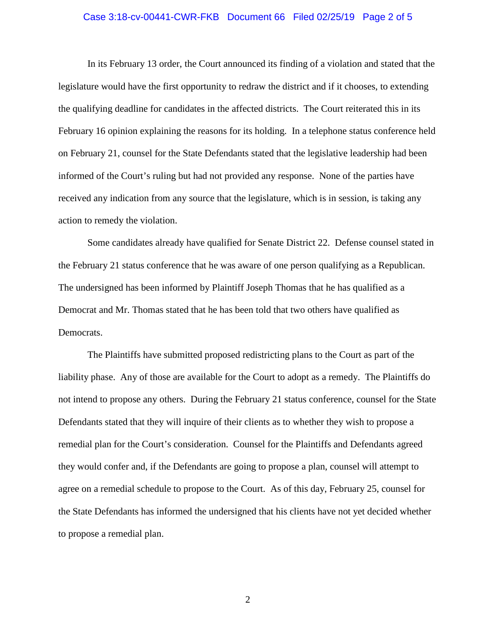## Case 3:18-cv-00441-CWR-FKB Document 66 Filed 02/25/19 Page 2 of 5

In its February 13 order, the Court announced its finding of a violation and stated that the legislature would have the first opportunity to redraw the district and if it chooses, to extending the qualifying deadline for candidates in the affected districts. The Court reiterated this in its February 16 opinion explaining the reasons for its holding. In a telephone status conference held on February 21, counsel for the State Defendants stated that the legislative leadership had been informed of the Court's ruling but had not provided any response. None of the parties have received any indication from any source that the legislature, which is in session, is taking any action to remedy the violation.

Some candidates already have qualified for Senate District 22. Defense counsel stated in the February 21 status conference that he was aware of one person qualifying as a Republican. The undersigned has been informed by Plaintiff Joseph Thomas that he has qualified as a Democrat and Mr. Thomas stated that he has been told that two others have qualified as Democrats.

The Plaintiffs have submitted proposed redistricting plans to the Court as part of the liability phase. Any of those are available for the Court to adopt as a remedy. The Plaintiffs do not intend to propose any others. During the February 21 status conference, counsel for the State Defendants stated that they will inquire of their clients as to whether they wish to propose a remedial plan for the Court's consideration. Counsel for the Plaintiffs and Defendants agreed they would confer and, if the Defendants are going to propose a plan, counsel will attempt to agree on a remedial schedule to propose to the Court. As of this day, February 25, counsel for the State Defendants has informed the undersigned that his clients have not yet decided whether to propose a remedial plan.

2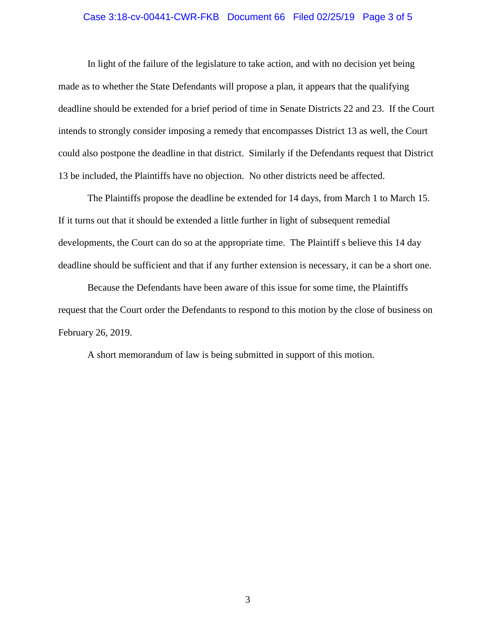### Case 3:18-cv-00441-CWR-FKB Document 66 Filed 02/25/19 Page 3 of 5

In light of the failure of the legislature to take action, and with no decision yet being made as to whether the State Defendants will propose a plan, it appears that the qualifying deadline should be extended for a brief period of time in Senate Districts 22 and 23. If the Court intends to strongly consider imposing a remedy that encompasses District 13 as well, the Court could also postpone the deadline in that district. Similarly if the Defendants request that District 13 be included, the Plaintiffs have no objection. No other districts need be affected.

The Plaintiffs propose the deadline be extended for 14 days, from March 1 to March 15. If it turns out that it should be extended a little further in light of subsequent remedial developments, the Court can do so at the appropriate time. The Plaintiff s believe this 14 day deadline should be sufficient and that if any further extension is necessary, it can be a short one.

Because the Defendants have been aware of this issue for some time, the Plaintiffs request that the Court order the Defendants to respond to this motion by the close of business on February 26, 2019.

A short memorandum of law is being submitted in support of this motion.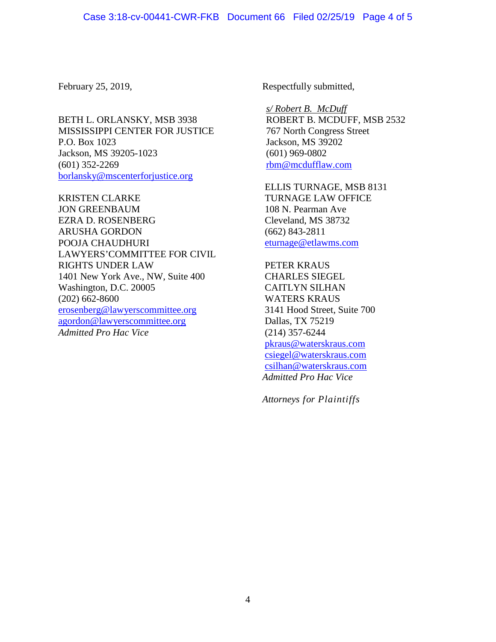BETH L. ORLANSKY, MSB 3938 MISSISSIPPI CENTER FOR JUSTICE P.O. Box 1023 Jackson, MS 39205-1023 (601) 352-2269 [borlansky@mscenterforjustice.org](mailto:borlansky@mscenterforjustice.org)

KRISTEN CLARKE JON GREENBAUM EZRA D. ROSENBERG ARUSHA GORDON POOJA CHAUDHURI LAWYERS'COMMITTEE FOR CIVIL RIGHTS UNDER LAW 1401 New York Ave., NW, Suite 400 Washington, D.C. 20005 (202) 662-8600 [erosenberg@lawyerscommittee.org](mailto:erosenberg@lawyerscommittee.org) [agordon@lawyerscommittee.org](mailto:agordon@lawyerscommittee.org) *Admitted Pro Hac Vice*

February 25, 2019, Respectfully submitted,

*s/ Robert B. McDuff* ROBERT B. MCDUFF, MSB 2532 767 North Congress Street Jackson, MS 39202 (601) 969-0802 [rbm@mcdufflaw.com](mailto:rbm@mcdufflaw.com)

ELLIS TURNAGE, MSB 8131 TURNAGE LAW OFFICE 108 N. Pearman Ave Cleveland, MS 38732 (662) 843-2811 [eturnage@etlawms.com](mailto:eturnage@etlawms.com)

PETER KRAUS CHARLES SIEGEL CAITLYN SILHAN WATERS KRAUS 3141 Hood Street, Suite 700 Dallas, TX 75219 (214) 357-6244 [pkraus@waterskraus.com](mailto:pkraus@waterskraus.com) [csiegel@waterskraus.com](mailto:csiegel@waterskraus.com) [csilhan@waterskraus.com](mailto:csilhan@waterskraus.com) *Admitted Pro Hac Vice*

*Attorneys for Plaintiffs*